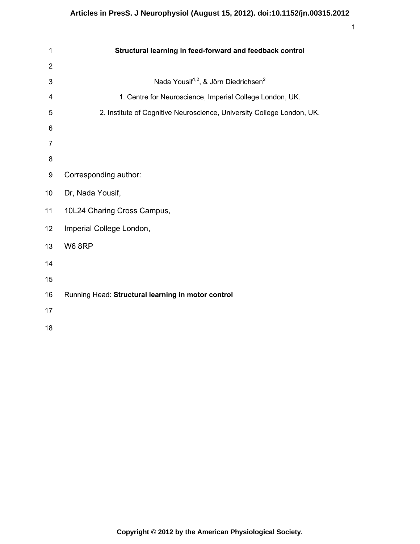| 1              | Structural learning in feed-forward and feedback control               |
|----------------|------------------------------------------------------------------------|
| $\overline{2}$ |                                                                        |
| 3              | Nada Yousif <sup>1,2</sup> , & Jörn Diedrichsen <sup>2</sup>           |
| 4              | 1. Centre for Neuroscience, Imperial College London, UK.               |
| 5              | 2. Institute of Cognitive Neuroscience, University College London, UK. |
| 6              |                                                                        |
| $\overline{7}$ |                                                                        |
| 8              |                                                                        |
| 9              | Corresponding author:                                                  |
| 10             | Dr, Nada Yousif,                                                       |
| 11             | 10L24 Charing Cross Campus,                                            |
| 12             | Imperial College London,                                               |
| 13             | <b>W6 8RP</b>                                                          |
| 14             |                                                                        |
| 15             |                                                                        |
| 16             | Running Head: Structural learning in motor control                     |
| 17             |                                                                        |
| 18             |                                                                        |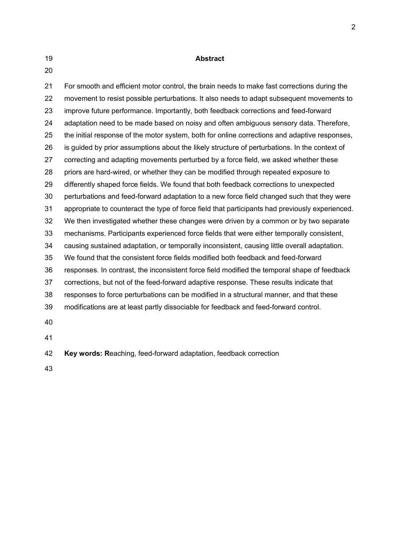#### 19 **Abstract**

21 For smooth and efficient motor control, the brain needs to make fast corrections during the 22 movement to resist possible perturbations. It also needs to adapt subsequent movements to 23 improve future performance. Importantly, both feedback corrections and feed-forward 24 adaptation need to be made based on noisy and often ambiguous sensory data. Therefore, 25 the initial response of the motor system, both for online corrections and adaptive responses, 26 is guided by prior assumptions about the likely structure of perturbations. In the context of 27 correcting and adapting movements perturbed by a force field, we asked whether these 28 priors are hard-wired, or whether they can be modified through repeated exposure to 29 differently shaped force fields. We found that both feedback corrections to unexpected 30 perturbations and feed-forward adaptation to a new force field changed such that they were 31 appropriate to counteract the type of force field that participants had previously experienced. 32 We then investigated whether these changes were driven by a common or by two separate 33 mechanisms. Participants experienced force fields that were either temporally consistent, 34 causing sustained adaptation, or temporally inconsistent, causing little overall adaptation. 35 We found that the consistent force fields modified both feedback and feed-forward 36 responses. In contrast, the inconsistent force field modified the temporal shape of feedback 37 corrections, but not of the feed-forward adaptive response. These results indicate that 38 responses to force perturbations can be modified in a structural manner, and that these 39 modifications are at least partly dissociable for feedback and feed-forward control. 40 41

42 **Key words: R**eaching, feed-forward adaptation, feedback correction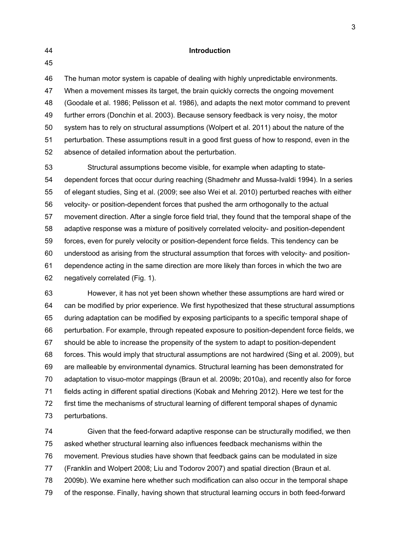44 **Introduction** 

46 The human motor system is capable of dealing with highly unpredictable environments. 47 When a movement misses its target, the brain quickly corrects the ongoing movement 48 (Goodale et al. 1986; Pelisson et al. 1986), and adapts the next motor command to prevent 49 further errors (Donchin et al. 2003). Because sensory feedback is very noisy, the motor 50 system has to rely on structural assumptions (Wolpert et al. 2011) about the nature of the 51 perturbation. These assumptions result in a good first guess of how to respond, even in the 52 absence of detailed information about the perturbation.

53 Structural assumptions become visible, for example when adapting to state-54 dependent forces that occur during reaching (Shadmehr and Mussa-Ivaldi 1994). In a series 55 of elegant studies, Sing et al. (2009; see also Wei et al. 2010) perturbed reaches with either 56 velocity- or position-dependent forces that pushed the arm orthogonally to the actual 57 movement direction. After a single force field trial, they found that the temporal shape of the 58 adaptive response was a mixture of positively correlated velocity- and position-dependent 59 forces, even for purely velocity or position-dependent force fields. This tendency can be 60 understood as arising from the structural assumption that forces with velocity- and position-61 dependence acting in the same direction are more likely than forces in which the two are 62 negatively correlated (Fig. 1).

63 However, it has not yet been shown whether these assumptions are hard wired or 64 can be modified by prior experience. We first hypothesized that these structural assumptions 65 during adaptation can be modified by exposing participants to a specific temporal shape of 66 perturbation. For example, through repeated exposure to position-dependent force fields, we 67 should be able to increase the propensity of the system to adapt to position-dependent 68 forces. This would imply that structural assumptions are not hardwired (Sing et al. 2009), but 69 are malleable by environmental dynamics. Structural learning has been demonstrated for 70 adaptation to visuo-motor mappings (Braun et al. 2009b; 2010a), and recently also for force 71 fields acting in different spatial directions (Kobak and Mehring 2012). Here we test for the 72 first time the mechanisms of structural learning of different temporal shapes of dynamic 73 perturbations.

74 Given that the feed-forward adaptive response can be structurally modified, we then 75 asked whether structural learning also influences feedback mechanisms within the 76 movement. Previous studies have shown that feedback gains can be modulated in size 77 (Franklin and Wolpert 2008; Liu and Todorov 2007) and spatial direction (Braun et al. 78 2009b). We examine here whether such modification can also occur in the temporal shape 79 of the response. Finally, having shown that structural learning occurs in both feed-forward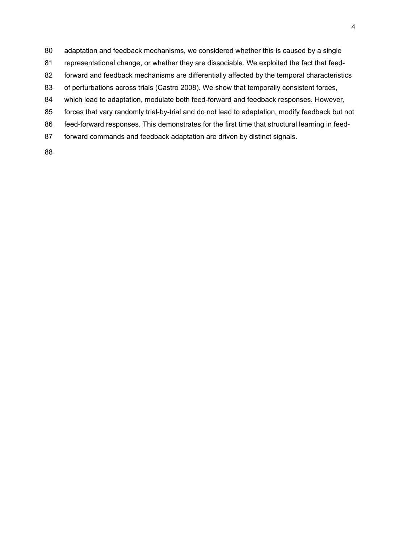- 80 adaptation and feedback mechanisms, we considered whether this is caused by a single
- 81 representational change, or whether they are dissociable. We exploited the fact that feed-
- 82 forward and feedback mechanisms are differentially affected by the temporal characteristics
- 83 of perturbations across trials (Castro 2008). We show that temporally consistent forces,
- 84 which lead to adaptation, modulate both feed-forward and feedback responses. However,
- 85 forces that vary randomly trial-by-trial and do not lead to adaptation, modify feedback but not
- 86 feed-forward responses. This demonstrates for the first time that structural learning in feed-
- 87 forward commands and feedback adaptation are driven by distinct signals.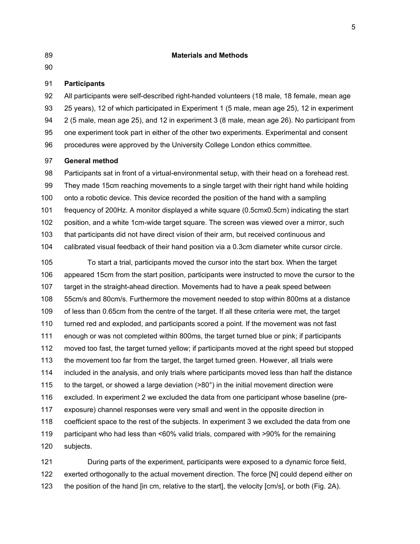#### 89 **Materials and Methods**

90

# 91 **Participants**

92 All participants were self-described right-handed volunteers (18 male, 18 female, mean age 93 25 years), 12 of which participated in Experiment 1 (5 male, mean age 25), 12 in experiment 94 2 (5 male, mean age 25), and 12 in experiment 3 (8 male, mean age 26). No participant from 95 one experiment took part in either of the other two experiments. Experimental and consent 96 procedures were approved by the University College London ethics committee.

# 97 **General method**

98 Participants sat in front of a virtual-environmental setup, with their head on a forehead rest. 99 They made 15cm reaching movements to a single target with their right hand while holding 100 onto a robotic device. This device recorded the position of the hand with a sampling 101 frequency of 200Hz. A monitor displayed a white square (0.5cmx0.5cm) indicating the start 102 position, and a white 1cm-wide target square. The screen was viewed over a mirror, such 103 that participants did not have direct vision of their arm, but received continuous and 104 calibrated visual feedback of their hand position via a 0.3cm diameter white cursor circle.

105 To start a trial, participants moved the cursor into the start box. When the target 106 appeared 15cm from the start position, participants were instructed to move the cursor to the 107 target in the straight-ahead direction. Movements had to have a peak speed between 108 55cm/s and 80cm/s. Furthermore the movement needed to stop within 800ms at a distance 109 of less than 0.65cm from the centre of the target. If all these criteria were met, the target 110 turned red and exploded, and participants scored a point. If the movement was not fast 111 enough or was not completed within 800ms, the target turned blue or pink; if participants 112 moved too fast, the target turned yellow; if participants moved at the right speed but stopped 113 the movement too far from the target, the target turned green. However, all trials were 114 included in the analysis, and only trials where participants moved less than half the distance 115 to the target, or showed a large deviation (>80°) in the initial movement direction were 116 excluded. In experiment 2 we excluded the data from one participant whose baseline (pre-117 exposure) channel responses were very small and went in the opposite direction in 118 coefficient space to the rest of the subjects. In experiment 3 we excluded the data from one 119 participant who had less than <60% valid trials, compared with >90% for the remaining 120 subjects.

121 During parts of the experiment, participants were exposed to a dynamic force field, 122 exerted orthogonally to the actual movement direction. The force [N] could depend either on 123 the position of the hand [in cm, relative to the start], the velocity [cm/s], or both (Fig. 2A).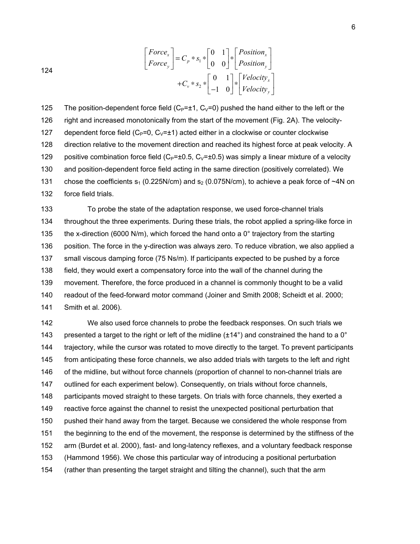$$
(\mathcal{M}_\mathcal{A},\mathcal{M}_\mathcal{A},\mathcal{M}_\mathcal{A},\mathcal{M}_\mathcal{A},\mathcal{M}_\mathcal{A},\mathcal{M}_\mathcal{A},\mathcal{M}_\mathcal{A},\mathcal{M}_\mathcal{A},\mathcal{M}_\mathcal{A},\mathcal{M}_\mathcal{A},\mathcal{M}_\mathcal{A},\mathcal{M}_\mathcal{A},\mathcal{M}_\mathcal{A},\mathcal{M}_\mathcal{A},\mathcal{M}_\mathcal{A},\mathcal{M}_\mathcal{A},\mathcal{M}_\mathcal{A},\mathcal{M}_\mathcal{A},\mathcal{M}_\mathcal{A},\mathcal{M}_\mathcal{A},\mathcal{M}_\mathcal{A},\mathcal{M}_\mathcal{A},\mathcal{M}_\mathcal{A},\mathcal{M}_\mathcal{A},\mathcal{M}_\mathcal{A},\mathcal{M}_\mathcal{A},\mathcal{M}_\mathcal{A},\mathcal{M}_\mathcal{A},\mathcal{M}_\mathcal{A},\mathcal{M}_\mathcal{A},\mathcal{M}_\mathcal{A},\mathcal{M}_\mathcal{A},\mathcal{M}_\mathcal{A},\mathcal{M}_\mathcal{A},\mathcal{M}_\mathcal{A},\mathcal{M}_\mathcal{A},\mathcal{M}_\mathcal{A},\mathcal{M}_\mathcal{A},\mathcal{M}_\mathcal{A},\mathcal{M}_\mathcal{A},\mathcal{M}_\mathcal{A},\mathcal{M}_\mathcal{A},\mathcal{M}_\mathcal{A},\mathcal{M}_\mathcal{A},\mathcal{M}_\mathcal{A},\mathcal{M}_\mathcal{A},\mathcal{M}_\mathcal{A},\mathcal{M}_\mathcal{A},\mathcal{M}_\mathcal{A},\mathcal{M}_\mathcal{A},\mathcal{M}_\mathcal{A},\mathcal{M}_\mathcal{A},\mathcal{M}_\mathcal{A},\mathcal{M}_\mathcal{A},\mathcal{M}_\mathcal{A},\mathcal{M}_\mathcal{A},\mathcal{M}_\mathcal{A},\mathcal{M}_\mathcal{A},\mathcal{M}_\mathcal{A},\mathcal{M}_\mathcal{A},\mathcal{M}_\mathcal{A},\mathcal{M}_\mathcal{A},\mathcal{M}_\mathcal{A},\mathcal
$$

$$
\begin{bmatrix} Force_x \\ Force_y \end{bmatrix} = C_p * s_1 * \begin{bmatrix} 0 & 1 \\ 0 & 0 \end{bmatrix} * \begin{bmatrix} Position_x \\ Position_y \end{bmatrix} + C_v * s_2 * \begin{bmatrix} 0 & 1 \\ -1 & 0 \end{bmatrix} * \begin{bmatrix} Velocity_x \\ Velocity_y \end{bmatrix}
$$

125 The position-dependent force field  $(C_P=t1, C_V=0)$  pushed the hand either to the left or the 126 right and increased monotonically from the start of the movement (Fig. 2A). The velocity-127 dependent force field  $(C_P=0, C_V=±1)$  acted either in a clockwise or counter clockwise 128 direction relative to the movement direction and reached its highest force at peak velocity. A 129 positive combination force field ( $C_P$ =±0.5,  $C_V$ =±0.5) was simply a linear mixture of a velocity 130 and position-dependent force field acting in the same direction (positively correlated). We 131 chose the coefficients  $s_1$  (0.225N/cm) and  $s_2$  (0.075N/cm), to achieve a peak force of ~4N on 132 force field trials.

133 To probe the state of the adaptation response, we used force-channel trials 134 throughout the three experiments. During these trials, the robot applied a spring-like force in 135 the x-direction (6000 N/m), which forced the hand onto a  $0^\circ$  trajectory from the starting 136 position. The force in the y-direction was always zero. To reduce vibration, we also applied a 137 small viscous damping force (75 Ns/m). If participants expected to be pushed by a force 138 field, they would exert a compensatory force into the wall of the channel during the 139 movement. Therefore, the force produced in a channel is commonly thought to be a valid 140 readout of the feed-forward motor command (Joiner and Smith 2008; Scheidt et al. 2000; 141 Smith et al. 2006).

142 We also used force channels to probe the feedback responses. On such trials we 143 presented a target to the right or left of the midline  $(\pm 14^{\circ})$  and constrained the hand to a 0° 144 trajectory, while the cursor was rotated to move directly to the target. To prevent participants 145 from anticipating these force channels, we also added trials with targets to the left and right 146 of the midline, but without force channels (proportion of channel to non-channel trials are 147 outlined for each experiment below). Consequently, on trials without force channels, 148 participants moved straight to these targets. On trials with force channels, they exerted a 149 reactive force against the channel to resist the unexpected positional perturbation that 150 pushed their hand away from the target. Because we considered the whole response from 151 the beginning to the end of the movement, the response is determined by the stiffness of the 152 arm (Burdet et al. 2000), fast- and long-latency reflexes, and a voluntary feedback response 153 (Hammond 1956). We chose this particular way of introducing a positional perturbation 154 (rather than presenting the target straight and tilting the channel), such that the arm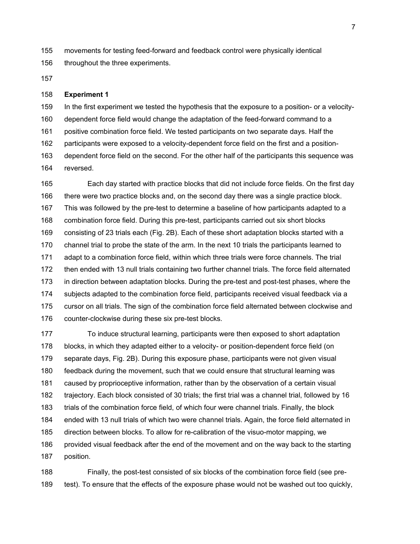155 movements for testing feed-forward and feedback control were physically identical

156 throughout the three experiments.

157

## 158 **Experiment 1**

159 In the first experiment we tested the hypothesis that the exposure to a position- or a velocity-160 dependent force field would change the adaptation of the feed-forward command to a 161 positive combination force field. We tested participants on two separate days. Half the 162 participants were exposed to a velocity-dependent force field on the first and a position-163 dependent force field on the second. For the other half of the participants this sequence was 164 reversed.

165 Each day started with practice blocks that did not include force fields. On the first day 166 there were two practice blocks and, on the second day there was a single practice block. 167 This was followed by the pre-test to determine a baseline of how participants adapted to a 168 combination force field. During this pre-test, participants carried out six short blocks 169 consisting of 23 trials each (Fig. 2B). Each of these short adaptation blocks started with a 170 channel trial to probe the state of the arm. In the next 10 trials the participants learned to 171 adapt to a combination force field, within which three trials were force channels. The trial 172 then ended with 13 null trials containing two further channel trials. The force field alternated 173 in direction between adaptation blocks. During the pre-test and post-test phases, where the 174 subjects adapted to the combination force field, participants received visual feedback via a 175 cursor on all trials. The sign of the combination force field alternated between clockwise and 176 counter-clockwise during these six pre-test blocks.

177 To induce structural learning, participants were then exposed to short adaptation 178 blocks, in which they adapted either to a velocity- or position-dependent force field (on 179 separate days, Fig. 2B). During this exposure phase, participants were not given visual 180 feedback during the movement, such that we could ensure that structural learning was 181 caused by proprioceptive information, rather than by the observation of a certain visual 182 trajectory. Each block consisted of 30 trials; the first trial was a channel trial, followed by 16 183 trials of the combination force field, of which four were channel trials. Finally, the block 184 ended with 13 null trials of which two were channel trials. Again, the force field alternated in 185 direction between blocks. To allow for re-calibration of the visuo-motor mapping, we 186 provided visual feedback after the end of the movement and on the way back to the starting 187 position.

188 Finally, the post-test consisted of six blocks of the combination force field (see pre-189 test). To ensure that the effects of the exposure phase would not be washed out too quickly,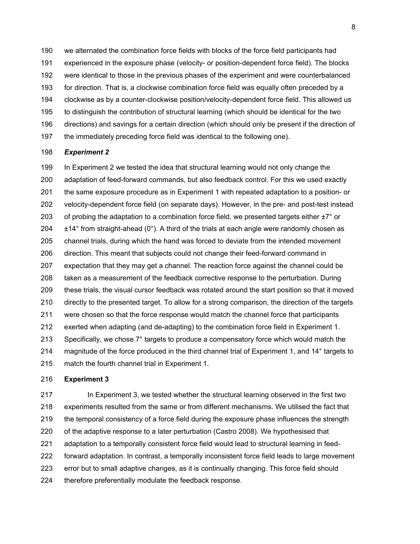190 we alternated the combination force fields with blocks of the force field participants had 191 experienced in the exposure phase (velocity- or position-dependent force field). The blocks 192 were identical to those in the previous phases of the experiment and were counterbalanced 193 for direction. That is, a clockwise combination force field was equally often preceded by a 194 clockwise as by a counter-clockwise position/velocity-dependent force field. This allowed us 195 to distinguish the contribution of structural learning (which should be identical for the two 196 directions) and savings for a certain direction (which should only be present if the direction of 197 the immediately preceding force field was identical to the following one).

#### 198 *Experiment 2*

199 In Experiment 2 we tested the idea that structural learning would not only change the 200 adaptation of feed-forward commands, but also feedback control. For this we used exactly 201 the same exposure procedure as in Experiment 1 with repeated adaptation to a position- or 202 velocity-dependent force field (on separate days). However, in the pre- and post-test instead 203 of probing the adaptation to a combination force field, we presented targets either  $\pm 7^{\circ}$  or 204  $\pm$ 14° from straight-ahead (0°). A third of the trials at each angle were randomly chosen as 205 channel trials, during which the hand was forced to deviate from the intended movement 206 direction. This meant that subjects could not change their feed-forward command in 207 expectation that they may get a channel. The reaction force against the channel could be 208 taken as a measurement of the feedback corrective response to the perturbation. During 209 these trials, the visual cursor feedback was rotated around the start position so that it moved 210 directly to the presented target. To allow for a strong comparison, the direction of the targets 211 were chosen so that the force response would match the channel force that participants 212 exerted when adapting (and de-adapting) to the combination force field in Experiment 1. 213 Specifically, we chose 7° targets to produce a compensatory force which would match the 214 magnitude of the force produced in the third channel trial of Experiment 1, and 14° targets to 215 match the fourth channel trial in Experiment 1.

#### 216 **Experiment 3**

217 In Experiment 3, we tested whether the structural learning observed in the first two 218 experiments resulted from the same or from different mechanisms. We utilised the fact that 219 the temporal consistency of a force field during the exposure phase influences the strength 220 of the adaptive response to a later perturbation (Castro 2008). We hypothesised that 221 adaptation to a temporally consistent force field would lead to structural learning in feed-222 forward adaptation. In contrast, a temporally inconsistent force field leads to large movement 223 error but to small adaptive changes, as it is continually changing. This force field should 224 therefore preferentially modulate the feedback response.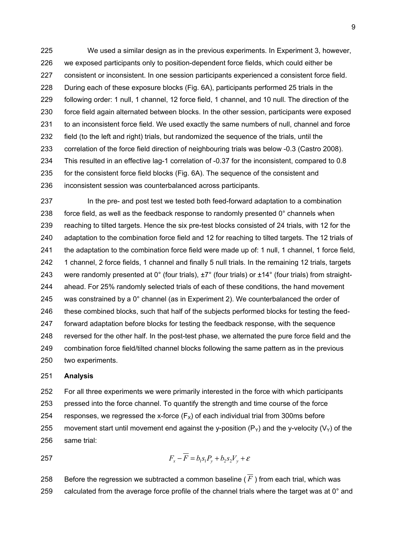225 We used a similar design as in the previous experiments. In Experiment 3, however, 226 we exposed participants only to position-dependent force fields, which could either be 227 consistent or inconsistent. In one session participants experienced a consistent force field. 228 During each of these exposure blocks (Fig. 6A), participants performed 25 trials in the 229 following order: 1 null, 1 channel, 12 force field, 1 channel, and 10 null. The direction of the 230 force field again alternated between blocks. In the other session, participants were exposed 231 to an inconsistent force field. We used exactly the same numbers of null, channel and force 232 field (to the left and right) trials, but randomized the sequence of the trials, until the 233 correlation of the force field direction of neighbouring trials was below -0.3 (Castro 2008). 234 This resulted in an effective lag-1 correlation of -0.37 for the inconsistent, compared to 0.8 235 for the consistent force field blocks (Fig. 6A). The sequence of the consistent and 236 inconsistent session was counterbalanced across participants.

237 In the pre- and post test we tested both feed-forward adaptation to a combination 238 force field, as well as the feedback response to randomly presented  $0^\circ$  channels when 239 reaching to tilted targets. Hence the six pre-test blocks consisted of 24 trials, with 12 for the 240 adaptation to the combination force field and 12 for reaching to tilted targets. The 12 trials of 241 the adaptation to the combination force field were made up of: 1 null, 1 channel, 1 force field, 242 1 channel, 2 force fields, 1 channel and finally 5 null trials. In the remaining 12 trials, targets 243 were randomly presented at 0 $^{\circ}$  (four trials),  $\pm 7^{\circ}$  (four trials) or  $\pm 14^{\circ}$  (four trials) from straight-244 ahead. For 25% randomly selected trials of each of these conditions, the hand movement 245 was constrained by a  $0^{\circ}$  channel (as in Experiment 2). We counterbalanced the order of 246 these combined blocks, such that half of the subjects performed blocks for testing the feed-247 forward adaptation before blocks for testing the feedback response, with the sequence 248 reversed for the other half. In the post-test phase, we alternated the pure force field and the 249 combination force field/tilted channel blocks following the same pattern as in the previous 250 two experiments.

251 **Analysis** 

252 For all three experiments we were primarily interested in the force with which participants 253 pressed into the force channel. To quantify the strength and time course of the force 254 responses, we regressed the x-force  $(F_X)$  of each individual trial from 300ms before 255 movement start until movement end against the y-position  $(P_Y)$  and the y-velocity  $(V_Y)$  of the 256 same trial:

$$
F_x - \overline{F} = b_1 s_1 P_y + b_2 s_2 V_y + \varepsilon
$$

258 Before the regression we subtracted a common baseline  $(F)$  from each trial, which was 259 calculated from the average force profile of the channel trials where the target was at  $0^{\circ}$  and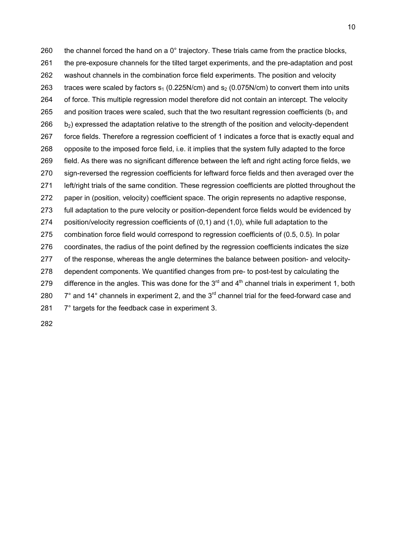260 the channel forced the hand on a  $0^\circ$  trajectory. These trials came from the practice blocks, 261 the pre-exposure channels for the tilted target experiments, and the pre-adaptation and post 262 washout channels in the combination force field experiments. The position and velocity 263 traces were scaled by factors  $s_1$  (0.225N/cm) and  $s_2$  (0.075N/cm) to convert them into units 264 of force. This multiple regression model therefore did not contain an intercept. The velocity 265 and position traces were scaled, such that the two resultant regression coefficients ( $b_1$  and  $266$  b<sub>2</sub>) expressed the adaptation relative to the strength of the position and velocity-dependent 267 force fields. Therefore a regression coefficient of 1 indicates a force that is exactly equal and 268 opposite to the imposed force field, i.e. it implies that the system fully adapted to the force 269 field. As there was no significant difference between the left and right acting force fields, we 270 sign-reversed the regression coefficients for leftward force fields and then averaged over the 271 left/right trials of the same condition. These regression coefficients are plotted throughout the 272 paper in (position, velocity) coefficient space. The origin represents no adaptive response, 273 full adaptation to the pure velocity or position-dependent force fields would be evidenced by 274 position/velocity regression coefficients of (0,1) and (1,0), while full adaptation to the 275 combination force field would correspond to regression coefficients of (0.5, 0.5). In polar 276 coordinates, the radius of the point defined by the regression coefficients indicates the size 277 of the response, whereas the angle determines the balance between position- and velocity-278 dependent components. We quantified changes from pre- to post-test by calculating the 279 difference in the angles. This was done for the 3 $<sup>rd</sup>$  and 4<sup>th</sup> channel trials in experiment 1, both</sup> 280  $-7^{\circ}$  and 14 $^{\circ}$  channels in experiment 2, and the  $3^{\text{rd}}$  channel trial for the feed-forward case and 281 7° targets for the feedback case in experiment 3.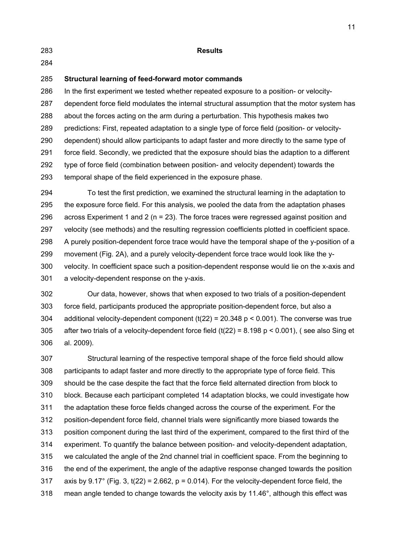#### 283 **Results**

## 285 **Structural learning of feed-forward motor commands**

286 In the first experiment we tested whether repeated exposure to a position- or velocity-287 dependent force field modulates the internal structural assumption that the motor system has 288 about the forces acting on the arm during a perturbation. This hypothesis makes two 289 predictions: First, repeated adaptation to a single type of force field (position- or velocity-290 dependent) should allow participants to adapt faster and more directly to the same type of 291 force field. Secondly, we predicted that the exposure should bias the adaption to a different 292 type of force field (combination between position- and velocity dependent) towards the 293 temporal shape of the field experienced in the exposure phase.

294 To test the first prediction, we examined the structural learning in the adaptation to 295 the exposure force field. For this analysis, we pooled the data from the adaptation phases 296 across Experiment 1 and 2 (n = 23). The force traces were regressed against position and 297 velocity (see methods) and the resulting regression coefficients plotted in coefficient space. 298 A purely position-dependent force trace would have the temporal shape of the y-position of a 299 movement (Fig. 2A), and a purely velocity-dependent force trace would look like the y-300 velocity. In coefficient space such a position-dependent response would lie on the x-axis and 301 a velocity-dependent response on the y-axis.

302 Our data, however, shows that when exposed to two trials of a position-dependent 303 force field, participants produced the appropriate position-dependent force, but also a 304 additional velocity-dependent component  $(t(22) = 20.348 \text{ p} < 0.001)$ . The converse was true 305 after two trials of a velocity-dependent force field  $(t(22) = 8.198 p < 0.001)$ , (see also Sing et 306 al. 2009).

307 Structural learning of the respective temporal shape of the force field should allow 308 participants to adapt faster and more directly to the appropriate type of force field. This 309 should be the case despite the fact that the force field alternated direction from block to 310 block. Because each participant completed 14 adaptation blocks, we could investigate how 311 the adaptation these force fields changed across the course of the experiment. For the 312 position-dependent force field, channel trials were significantly more biased towards the 313 position component during the last third of the experiment, compared to the first third of the 314 experiment. To quantify the balance between position- and velocity-dependent adaptation, 315 we calculated the angle of the 2nd channel trial in coefficient space. From the beginning to 316 the end of the experiment, the angle of the adaptive response changed towards the position 317 axis by 9.17° (Fig. 3,  $t(22) = 2.662$ ,  $p = 0.014$ ). For the velocity-dependent force field, the 318 mean angle tended to change towards the velocity axis by 11.46°, although this effect was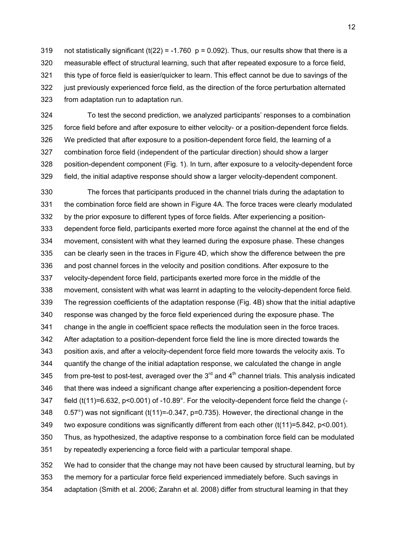319 not statistically significant ( $t(22) = -1.760$  p = 0.092). Thus, our results show that there is a 320 measurable effect of structural learning, such that after repeated exposure to a force field, 321 this type of force field is easier/quicker to learn. This effect cannot be due to savings of the 322 just previously experienced force field, as the direction of the force perturbation alternated 323 from adaptation run to adaptation run.

324 To test the second prediction, we analyzed participants' responses to a combination 325 force field before and after exposure to either velocity- or a position-dependent force fields. 326 We predicted that after exposure to a position-dependent force field, the learning of a 327 combination force field (independent of the particular direction) should show a larger 328 position-dependent component (Fig. 1). In turn, after exposure to a velocity-dependent force 329 field, the initial adaptive response should show a larger velocity-dependent component.

330 The forces that participants produced in the channel trials during the adaptation to 331 the combination force field are shown in Figure 4A. The force traces were clearly modulated 332 by the prior exposure to different types of force fields. After experiencing a position-333 dependent force field, participants exerted more force against the channel at the end of the 334 movement, consistent with what they learned during the exposure phase. These changes 335 can be clearly seen in the traces in Figure 4D, which show the difference between the pre 336 and post channel forces in the velocity and position conditions. After exposure to the 337 velocity-dependent force field, participants exerted more force in the middle of the 338 movement, consistent with what was learnt in adapting to the velocity-dependent force field. 339 The regression coefficients of the adaptation response (Fig. 4B) show that the initial adaptive 340 response was changed by the force field experienced during the exposure phase. The 341 change in the angle in coefficient space reflects the modulation seen in the force traces. 342 After adaptation to a position-dependent force field the line is more directed towards the 343 position axis, and after a velocity-dependent force field more towards the velocity axis. To 344 quantify the change of the initial adaptation response, we calculated the change in angle 345 from pre-test to post-test, averaged over the  $3<sup>rd</sup>$  and  $4<sup>th</sup>$  channel trials. This analysis indicated 346 that there was indeed a significant change after experiencing a position-dependent force 347 field (t(11)=6.632, p<0.001) of -10.89°. For the velocity-dependent force field the change (- 348 0.57°) was not significant (t(11)=-0.347, p=0.735). However, the directional change in the 349 two exposure conditions was significantly different from each other  $(t(11)=5.842, p<0.001)$ . 350 Thus, as hypothesized, the adaptive response to a combination force field can be modulated 351 by repeatedly experiencing a force field with a particular temporal shape. 352 We had to consider that the change may not have been caused by structural learning, but by

353 the memory for a particular force field experienced immediately before. Such savings in

354 adaptation (Smith et al. 2006; Zarahn et al. 2008) differ from structural learning in that they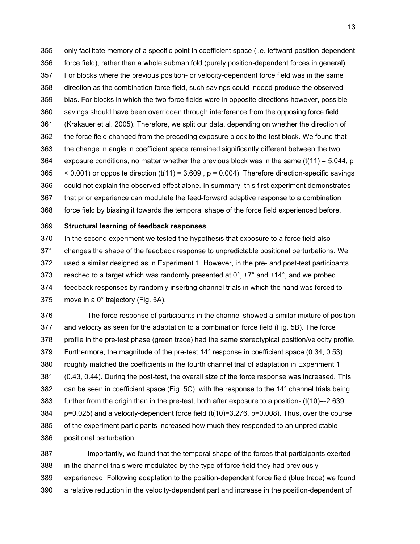355 only facilitate memory of a specific point in coefficient space (i.e. leftward position-dependent 356 force field), rather than a whole submanifold (purely position-dependent forces in general). 357 For blocks where the previous position- or velocity-dependent force field was in the same 358 direction as the combination force field, such savings could indeed produce the observed 359 bias. For blocks in which the two force fields were in opposite directions however, possible 360 savings should have been overridden through interference from the opposing force field 361 (Krakauer et al. 2005). Therefore, we split our data, depending on whether the direction of 362 the force field changed from the preceding exposure block to the test block. We found that 363 the change in angle in coefficient space remained significantly different between the two 364 exposure conditions, no matter whether the previous block was in the same  $(t(11) = 5.044, p)$  $365 \leq 0.001$  or opposite direction (t(11) = 3.609, p = 0.004). Therefore direction-specific savings 366 could not explain the observed effect alone. In summary, this first experiment demonstrates 367 that prior experience can modulate the feed-forward adaptive response to a combination 368 force field by biasing it towards the temporal shape of the force field experienced before.

## 369 **Structural learning of feedback responses**

370 In the second experiment we tested the hypothesis that exposure to a force field also 371 changes the shape of the feedback response to unpredictable positional perturbations. We 372 used a similar designed as in Experiment 1. However, in the pre- and post-test participants 373 reached to a target which was randomly presented at  $0^\circ$ ,  $\pm 7^\circ$  and  $\pm 14^\circ$ , and we probed 374 feedback responses by randomly inserting channel trials in which the hand was forced to 375 move in a 0° trajectory (Fig. 5A).

376 The force response of participants in the channel showed a similar mixture of position 377 and velocity as seen for the adaptation to a combination force field (Fig. 5B). The force 378 profile in the pre-test phase (green trace) had the same stereotypical position/velocity profile. 379 Furthermore, the magnitude of the pre-test 14° response in coefficient space (0.34, 0.53) 380 roughly matched the coefficients in the fourth channel trial of adaptation in Experiment 1 381 (0.43, 0.44). During the post-test, the overall size of the force response was increased. This 382 can be seen in coefficient space (Fig. 5C), with the response to the 14° channel trials being 383 further from the origin than in the pre-test, both after exposure to a position- (t(10)=-2.639, 384 p=0.025) and a velocity-dependent force field (t(10)=3.276, p=0.008). Thus, over the course 385 of the experiment participants increased how much they responded to an unpredictable 386 positional perturbation.

387 Importantly, we found that the temporal shape of the forces that participants exerted 388 in the channel trials were modulated by the type of force field they had previously 389 experienced. Following adaptation to the position-dependent force field (blue trace) we found 390 a relative reduction in the velocity-dependent part and increase in the position-dependent of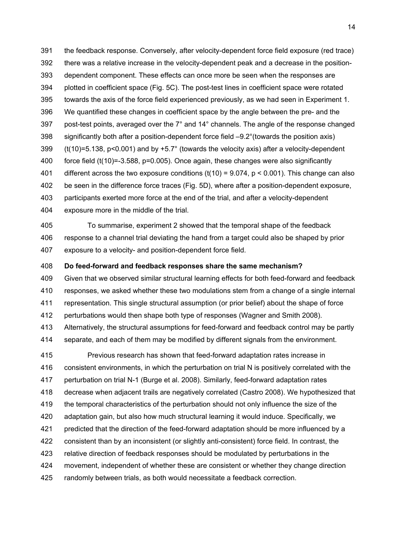391 the feedback response. Conversely, after velocity-dependent force field exposure (red trace) 392 there was a relative increase in the velocity-dependent peak and a decrease in the position-393 dependent component. These effects can once more be seen when the responses are 394 plotted in coefficient space (Fig. 5C). The post-test lines in coefficient space were rotated 395 towards the axis of the force field experienced previously, as we had seen in Experiment 1. 396 We quantified these changes in coefficient space by the angle between the pre- and the 397 post-test points, averaged over the 7° and 14° channels. The angle of the response changed 398 significantly both after a position-dependent force field –9.2°(towards the position axis) 399 (t(10)=5.138, p<0.001) and by +5.7° (towards the velocity axis) after a velocity-dependent 400 force field (t(10)=-3.588, p=0.005). Once again, these changes were also significantly 401 different across the two exposure conditions (t(10) = 9.074, p < 0.001). This change can also 402 be seen in the difference force traces (Fig. 5D), where after a position-dependent exposure, 403 participants exerted more force at the end of the trial, and after a velocity-dependent 404 exposure more in the middle of the trial.

405 To summarise, experiment 2 showed that the temporal shape of the feedback 406 response to a channel trial deviating the hand from a target could also be shaped by prior 407 exposure to a velocity- and position-dependent force field.

## 408 **Do feed-forward and feedback responses share the same mechanism?**

409 Given that we observed similar structural learning effects for both feed-forward and feedback 410 responses, we asked whether these two modulations stem from a change of a single internal 411 representation. This single structural assumption (or prior belief) about the shape of force

- 
- 412 perturbations would then shape both type of responses (Wagner and Smith 2008).

413 Alternatively, the structural assumptions for feed-forward and feedback control may be partly

414 separate, and each of them may be modified by different signals from the environment.

415 Previous research has shown that feed-forward adaptation rates increase in 416 consistent environments, in which the perturbation on trial N is positively correlated with the 417 perturbation on trial N-1 (Burge et al. 2008). Similarly, feed-forward adaptation rates 418 decrease when adjacent trails are negatively correlated (Castro 2008). We hypothesized that 419 the temporal characteristics of the perturbation should not only influence the size of the 420 adaptation gain, but also how much structural learning it would induce. Specifically, we 421 predicted that the direction of the feed-forward adaptation should be more influenced by a 422 consistent than by an inconsistent (or slightly anti-consistent) force field. In contrast, the 423 relative direction of feedback responses should be modulated by perturbations in the 424 movement, independent of whether these are consistent or whether they change direction 425 randomly between trials, as both would necessitate a feedback correction.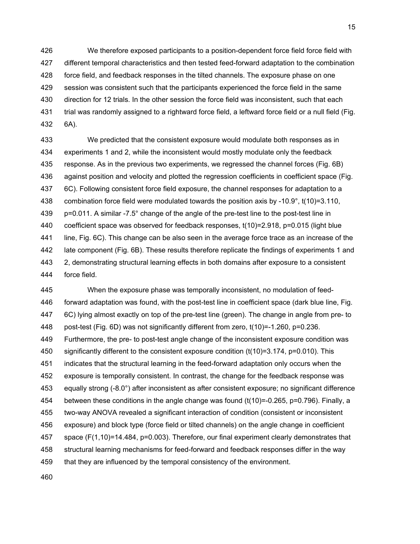426 We therefore exposed participants to a position-dependent force field force field with 427 different temporal characteristics and then tested feed-forward adaptation to the combination 428 force field, and feedback responses in the tilted channels. The exposure phase on one 429 session was consistent such that the participants experienced the force field in the same 430 direction for 12 trials. In the other session the force field was inconsistent, such that each 431 trial was randomly assigned to a rightward force field, a leftward force field or a null field (Fig. 432 6A).

433 We predicted that the consistent exposure would modulate both responses as in 434 experiments 1 and 2, while the inconsistent would mostly modulate only the feedback 435 response. As in the previous two experiments, we regressed the channel forces (Fig. 6B) 436 against position and velocity and plotted the regression coefficients in coefficient space (Fig. 437 6C). Following consistent force field exposure, the channel responses for adaptation to a 438 combination force field were modulated towards the position axis by -10.9°, t(10)=3.110, 439 p=0.011. A similar -7.5° change of the angle of the pre-test line to the post-test line in 440 coefficient space was observed for feedback responses, t(10)=2.918, p=0.015 (light blue 441 line, Fig. 6C). This change can be also seen in the average force trace as an increase of the 442 late component (Fig. 6B). These results therefore replicate the findings of experiments 1 and 443 2, demonstrating structural learning effects in both domains after exposure to a consistent 444 force field.

445 When the exposure phase was temporally inconsistent, no modulation of feed-446 forward adaptation was found, with the post-test line in coefficient space (dark blue line, Fig. 447 6C) lying almost exactly on top of the pre-test line (green). The change in angle from pre- to 448 post-test (Fig. 6D) was not significantly different from zero, t(10)=-1.260, p=0.236. 449 Furthermore, the pre- to post-test angle change of the inconsistent exposure condition was 450 significantly different to the consistent exposure condition (t(10)=3.174, p=0.010). This 451 indicates that the structural learning in the feed-forward adaptation only occurs when the 452 exposure is temporally consistent. In contrast, the change for the feedback response was 453 equally strong (-8.0°) after inconsistent as after consistent exposure; no significant difference 454 between these conditions in the angle change was found (t(10)=-0.265, p=0.796). Finally, a 455 two-way ANOVA revealed a significant interaction of condition (consistent or inconsistent 456 exposure) and block type (force field or tilted channels) on the angle change in coefficient 457 space (F(1,10)=14.484, p=0.003). Therefore, our final experiment clearly demonstrates that 458 structural learning mechanisms for feed-forward and feedback responses differ in the way 459 that they are influenced by the temporal consistency of the environment.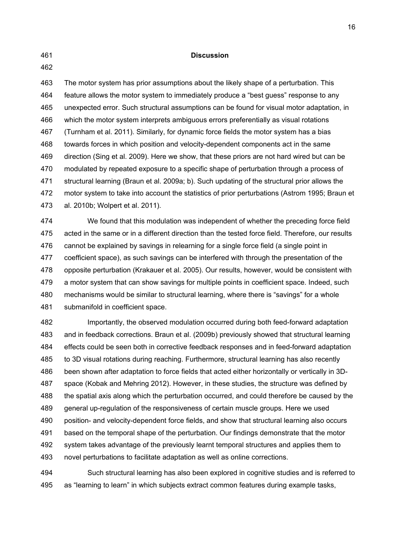461 **Discussion** 

462

463 The motor system has prior assumptions about the likely shape of a perturbation. This 464 feature allows the motor system to immediately produce a "best guess" response to any 465 unexpected error. Such structural assumptions can be found for visual motor adaptation, in 466 which the motor system interprets ambiguous errors preferentially as visual rotations 467 (Turnham et al. 2011). Similarly, for dynamic force fields the motor system has a bias 468 towards forces in which position and velocity-dependent components act in the same 469 direction (Sing et al. 2009). Here we show, that these priors are not hard wired but can be 470 modulated by repeated exposure to a specific shape of perturbation through a process of 471 structural learning (Braun et al. 2009a; b). Such updating of the structural prior allows the 472 motor system to take into account the statistics of prior perturbations (Astrom 1995; Braun et 473 al. 2010b; Wolpert et al. 2011).

474 We found that this modulation was independent of whether the preceding force field 475 acted in the same or in a different direction than the tested force field. Therefore, our results 476 cannot be explained by savings in relearning for a single force field (a single point in 477 coefficient space), as such savings can be interfered with through the presentation of the 478 opposite perturbation (Krakauer et al. 2005). Our results, however, would be consistent with 479 a motor system that can show savings for multiple points in coefficient space. Indeed, such 480 mechanisms would be similar to structural learning, where there is "savings" for a whole 481 submanifold in coefficient space.

482 Importantly, the observed modulation occurred during both feed-forward adaptation 483 and in feedback corrections. Braun et al. (2009b) previously showed that structural learning 484 effects could be seen both in corrective feedback responses and in feed-forward adaptation 485 to 3D visual rotations during reaching. Furthermore, structural learning has also recently 486 been shown after adaptation to force fields that acted either horizontally or vertically in 3D-487 space (Kobak and Mehring 2012). However, in these studies, the structure was defined by 488 the spatial axis along which the perturbation occurred, and could therefore be caused by the 489 general up-regulation of the responsiveness of certain muscle groups. Here we used 490 position- and velocity-dependent force fields, and show that structural learning also occurs 491 based on the temporal shape of the perturbation. Our findings demonstrate that the motor 492 system takes advantage of the previously learnt temporal structures and applies them to 493 novel perturbations to facilitate adaptation as well as online corrections.

494 Such structural learning has also been explored in cognitive studies and is referred to 495 as "learning to learn" in which subjects extract common features during example tasks,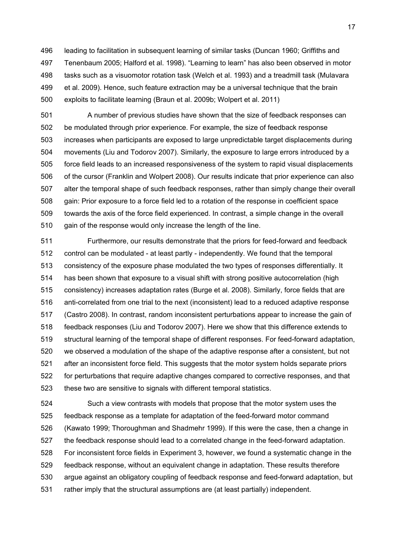496 leading to facilitation in subsequent learning of similar tasks (Duncan 1960; Griffiths and 497 Tenenbaum 2005; Halford et al. 1998). "Learning to learn" has also been observed in motor 498 tasks such as a visuomotor rotation task (Welch et al. 1993) and a treadmill task (Mulavara 499 et al. 2009). Hence, such feature extraction may be a universal technique that the brain 500 exploits to facilitate learning (Braun et al. 2009b; Wolpert et al. 2011)

501 A number of previous studies have shown that the size of feedback responses can 502 be modulated through prior experience. For example, the size of feedback response 503 increases when participants are exposed to large unpredictable target displacements during 504 movements (Liu and Todorov 2007). Similarly, the exposure to large errors introduced by a 505 force field leads to an increased responsiveness of the system to rapid visual displacements 506 of the cursor (Franklin and Wolpert 2008). Our results indicate that prior experience can also 507 alter the temporal shape of such feedback responses, rather than simply change their overall 508 gain: Prior exposure to a force field led to a rotation of the response in coefficient space 509 towards the axis of the force field experienced. In contrast, a simple change in the overall 510 gain of the response would only increase the length of the line.

511 Furthermore, our results demonstrate that the priors for feed-forward and feedback 512 control can be modulated - at least partly - independently. We found that the temporal 513 consistency of the exposure phase modulated the two types of responses differentially. It 514 has been shown that exposure to a visual shift with strong positive autocorrelation (high 515 consistency) increases adaptation rates (Burge et al. 2008). Similarly, force fields that are 516 anti-correlated from one trial to the next (inconsistent) lead to a reduced adaptive response 517 (Castro 2008). In contrast, random inconsistent perturbations appear to increase the gain of 518 feedback responses (Liu and Todorov 2007). Here we show that this difference extends to 519 structural learning of the temporal shape of different responses. For feed-forward adaptation, 520 we observed a modulation of the shape of the adaptive response after a consistent, but not 521 after an inconsistent force field. This suggests that the motor system holds separate priors 522 for perturbations that require adaptive changes compared to corrective responses, and that 523 these two are sensitive to signals with different temporal statistics.

524 Such a view contrasts with models that propose that the motor system uses the 525 feedback response as a template for adaptation of the feed-forward motor command 526 (Kawato 1999; Thoroughman and Shadmehr 1999). If this were the case, then a change in 527 the feedback response should lead to a correlated change in the feed-forward adaptation. 528 For inconsistent force fields in Experiment 3, however, we found a systematic change in the 529 feedback response, without an equivalent change in adaptation. These results therefore 530 argue against an obligatory coupling of feedback response and feed-forward adaptation, but 531 rather imply that the structural assumptions are (at least partially) independent.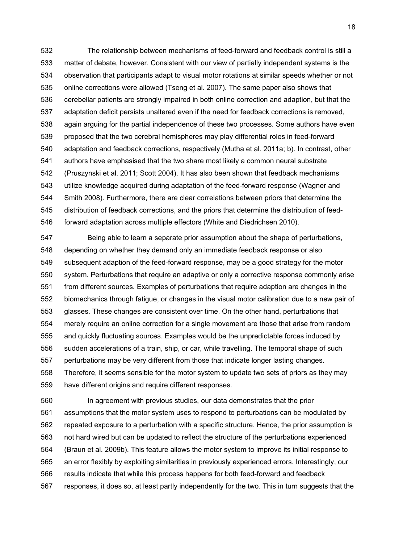532 The relationship between mechanisms of feed-forward and feedback control is still a 533 matter of debate, however. Consistent with our view of partially independent systems is the 534 observation that participants adapt to visual motor rotations at similar speeds whether or not 535 online corrections were allowed (Tseng et al. 2007). The same paper also shows that 536 cerebellar patients are strongly impaired in both online correction and adaption, but that the 537 adaptation deficit persists unaltered even if the need for feedback corrections is removed, 538 again arguing for the partial independence of these two processes. Some authors have even 539 proposed that the two cerebral hemispheres may play differential roles in feed-forward 540 adaptation and feedback corrections, respectively (Mutha et al. 2011a; b). In contrast, other 541 authors have emphasised that the two share most likely a common neural substrate 542 (Pruszynski et al. 2011; Scott 2004). It has also been shown that feedback mechanisms 543 utilize knowledge acquired during adaptation of the feed-forward response (Wagner and 544 Smith 2008). Furthermore, there are clear correlations between priors that determine the 545 distribution of feedback corrections, and the priors that determine the distribution of feed-546 forward adaptation across multiple effectors (White and Diedrichsen 2010).

547 Being able to learn a separate prior assumption about the shape of perturbations, 548 depending on whether they demand only an immediate feedback response or also 549 subsequent adaption of the feed-forward response, may be a good strategy for the motor 550 system. Perturbations that require an adaptive or only a corrective response commonly arise 551 from different sources. Examples of perturbations that require adaption are changes in the 552 biomechanics through fatigue, or changes in the visual motor calibration due to a new pair of 553 glasses. These changes are consistent over time. On the other hand, perturbations that 554 merely require an online correction for a single movement are those that arise from random 555 and quickly fluctuating sources. Examples would be the unpredictable forces induced by 556 sudden accelerations of a train, ship, or car, while travelling. The temporal shape of such 557 perturbations may be very different from those that indicate longer lasting changes. 558 Therefore, it seems sensible for the motor system to update two sets of priors as they may 559 have different origins and require different responses.

560 In agreement with previous studies, our data demonstrates that the prior 561 assumptions that the motor system uses to respond to perturbations can be modulated by 562 repeated exposure to a perturbation with a specific structure. Hence, the prior assumption is 563 not hard wired but can be updated to reflect the structure of the perturbations experienced 564 (Braun et al. 2009b). This feature allows the motor system to improve its initial response to 565 an error flexibly by exploiting similarities in previously experienced errors. Interestingly, our 566 results indicate that while this process happens for both feed-forward and feedback 567 responses, it does so, at least partly independently for the two. This in turn suggests that the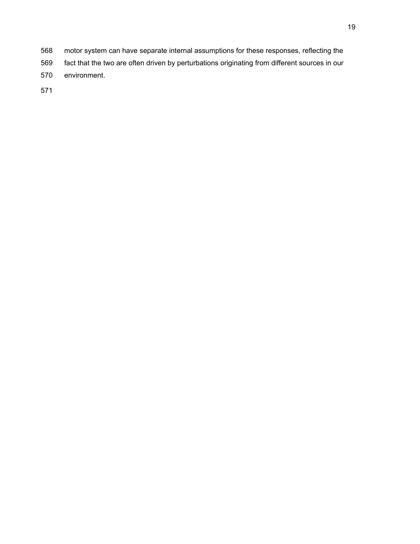- 568 motor system can have separate internal assumptions for these responses, reflecting the
- 569 fact that the two are often driven by perturbations originating from different sources in our
- 570 environment.
- 571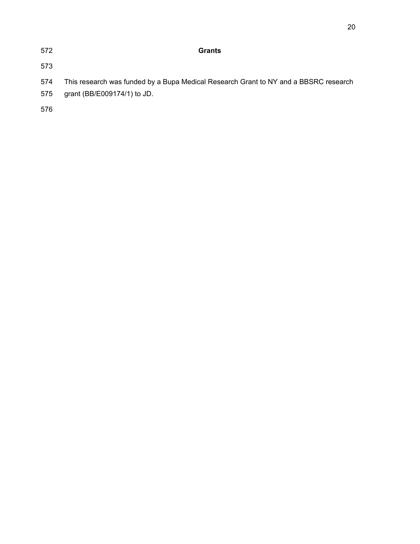| 572 | <b>Grants</b>                                                                        |
|-----|--------------------------------------------------------------------------------------|
| 573 |                                                                                      |
| 574 | This research was funded by a Bupa Medical Research Grant to NY and a BBSRC research |
| 575 | grant (BB/E009174/1) to JD.                                                          |
| 576 |                                                                                      |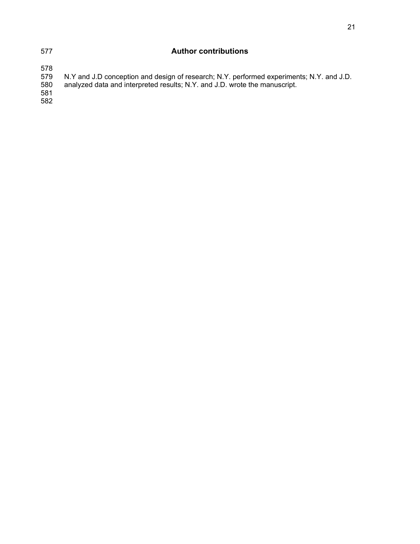# 577 **Author contributions**

578 579 N.Y and J.D conception and design of research; N.Y. performed experiments; N.Y. and J.D.

580 analyzed data and interpreted results; N.Y. and J.D. wrote the manuscript. 580<br>581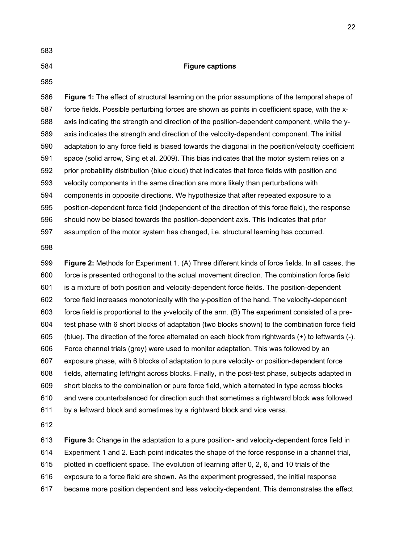| 583 |                                                                                                    |
|-----|----------------------------------------------------------------------------------------------------|
| 584 | <b>Figure captions</b>                                                                             |
| 585 |                                                                                                    |
| 586 | Figure 1: The effect of structural learning on the prior assumptions of the temporal shape of      |
| 587 |                                                                                                    |
|     | force fields. Possible perturbing forces are shown as points in coefficient space, with the x-     |
| 588 | axis indicating the strength and direction of the position-dependent component, while the y-       |
| 589 | axis indicates the strength and direction of the velocity-dependent component. The initial         |
| 590 | adaptation to any force field is biased towards the diagonal in the position/velocity coefficient  |
| 591 | space (solid arrow, Sing et al. 2009). This bias indicates that the motor system relies on a       |
| 592 | prior probability distribution (blue cloud) that indicates that force fields with position and     |
| 593 | velocity components in the same direction are more likely than perturbations with                  |
| 594 | components in opposite directions. We hypothesize that after repeated exposure to a                |
| 595 | position-dependent force field (independent of the direction of this force field), the response    |
| 596 | should now be biased towards the position-dependent axis. This indicates that prior                |
| 597 | assumption of the motor system has changed, i.e. structural learning has occurred.                 |
| 598 |                                                                                                    |
| 599 | Figure 2: Methods for Experiment 1. (A) Three different kinds of force fields. In all cases, the   |
| 600 | force is presented orthogonal to the actual movement direction. The combination force field        |
| 601 | is a mixture of both position and velocity-dependent force fields. The position-dependent          |
| 602 | force field increases monotonically with the y-position of the hand. The velocity-dependent        |
| 603 | force field is proportional to the y-velocity of the arm. (B) The experiment consisted of a pre-   |
| 604 | test phase with 6 short blocks of adaptation (two blocks shown) to the combination force field     |
| 605 | (blue). The direction of the force alternated on each block from rightwards (+) to leftwards (-).  |
| 606 | Force channel trials (grey) were used to monitor adaptation. This was followed by an               |
| 607 | exposure phase, with 6 blocks of adaptation to pure velocity- or position-dependent force          |
| 608 | fields, alternating left/right across blocks. Finally, in the post-test phase, subjects adapted in |
| 609 | short blocks to the combination or pure force field, which alternated in type across blocks        |

- 610 and were counterbalanced for direction such that sometimes a rightward block was followed
- 611 by a leftward block and sometimes by a rightward block and vice versa.

613 **Figure 3:** Change in the adaptation to a pure position- and velocity-dependent force field in

614 Experiment 1 and 2. Each point indicates the shape of the force response in a channel trial,

- 615 plotted in coefficient space. The evolution of learning after 0, 2, 6, and 10 trials of the
- 616 exposure to a force field are shown. As the experiment progressed, the initial response
- 617 became more position dependent and less velocity-dependent. This demonstrates the effect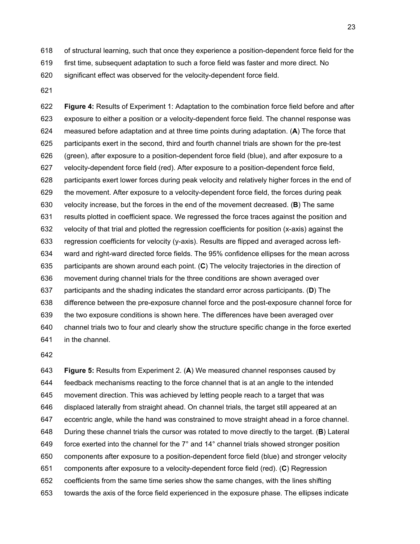618 of structural learning, such that once they experience a position-dependent force field for the 619 first time, subsequent adaptation to such a force field was faster and more direct. No

620 significant effect was observed for the velocity-dependent force field.

621

622 **Figure 4:** Results of Experiment 1: Adaptation to the combination force field before and after 623 exposure to either a position or a velocity-dependent force field. The channel response was 624 measured before adaptation and at three time points during adaptation. (**A**) The force that 625 participants exert in the second, third and fourth channel trials are shown for the pre-test 626 (green), after exposure to a position-dependent force field (blue), and after exposure to a 627 velocity-dependent force field (red). After exposure to a position-dependent force field, 628 participants exert lower forces during peak velocity and relatively higher forces in the end of 629 the movement. After exposure to a velocity-dependent force field, the forces during peak 630 velocity increase, but the forces in the end of the movement decreased. (**B**) The same 631 results plotted in coefficient space. We regressed the force traces against the position and 632 velocity of that trial and plotted the regression coefficients for position (x-axis) against the 633 regression coefficients for velocity (y-axis). Results are flipped and averaged across left-634 ward and right-ward directed force fields. The 95% confidence ellipses for the mean across 635 participants are shown around each point. (**C**) The velocity trajectories in the direction of 636 movement during channel trials for the three conditions are shown averaged over 637 participants and the shading indicates the standard error across participants. (**D**) The 638 difference between the pre-exposure channel force and the post-exposure channel force for 639 the two exposure conditions is shown here. The differences have been averaged over 640 channel trials two to four and clearly show the structure specific change in the force exerted 641 in the channel.

642

643 **Figure 5:** Results from Experiment 2. (**A**) We measured channel responses caused by 644 feedback mechanisms reacting to the force channel that is at an angle to the intended 645 movement direction. This was achieved by letting people reach to a target that was 646 displaced laterally from straight ahead. On channel trials, the target still appeared at an 647 eccentric angle, while the hand was constrained to move straight ahead in a force channel. 648 During these channel trials the cursor was rotated to move directly to the target. (**B**) Lateral 649 force exerted into the channel for the  $7^\circ$  and  $14^\circ$  channel trials showed stronger position 650 components after exposure to a position-dependent force field (blue) and stronger velocity 651 components after exposure to a velocity-dependent force field (red). (**C**) Regression 652 coefficients from the same time series show the same changes, with the lines shifting 653 towards the axis of the force field experienced in the exposure phase. The ellipses indicate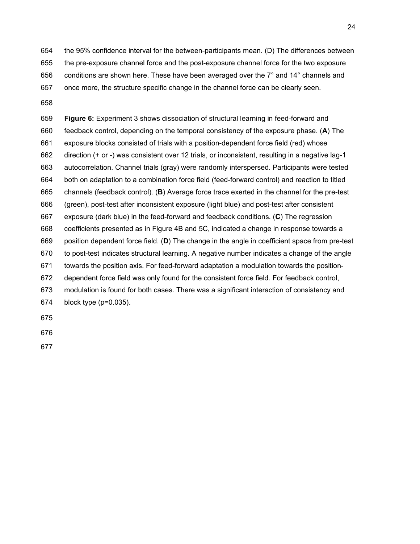654 the 95% confidence interval for the between-participants mean. (D) The differences between 655 the pre-exposure channel force and the post-exposure channel force for the two exposure 656 conditions are shown here. These have been averaged over the 7° and 14° channels and 657 once more, the structure specific change in the channel force can be clearly seen.

658

659 **Figure 6:** Experiment 3 shows dissociation of structural learning in feed-forward and 660 feedback control, depending on the temporal consistency of the exposure phase. (**A**) The 661 exposure blocks consisted of trials with a position-dependent force field (red) whose 662 direction (+ or -) was consistent over 12 trials, or inconsistent, resulting in a negative lag-1 663 autocorrelation. Channel trials (gray) were randomly interspersed. Participants were tested 664 both on adaptation to a combination force field (feed-forward control) and reaction to titled 665 channels (feedback control). (**B**) Average force trace exerted in the channel for the pre-test 666 (green), post-test after inconsistent exposure (light blue) and post-test after consistent 667 exposure (dark blue) in the feed-forward and feedback conditions. (**C**) The regression 668 coefficients presented as in Figure 4B and 5C, indicated a change in response towards a 669 position dependent force field. (**D**) The change in the angle in coefficient space from pre-test 670 to post-test indicates structural learning. A negative number indicates a change of the angle 671 towards the position axis. For feed-forward adaptation a modulation towards the position-672 dependent force field was only found for the consistent force field. For feedback control, 673 modulation is found for both cases. There was a significant interaction of consistency and 674 block type (p=0.035).

675

676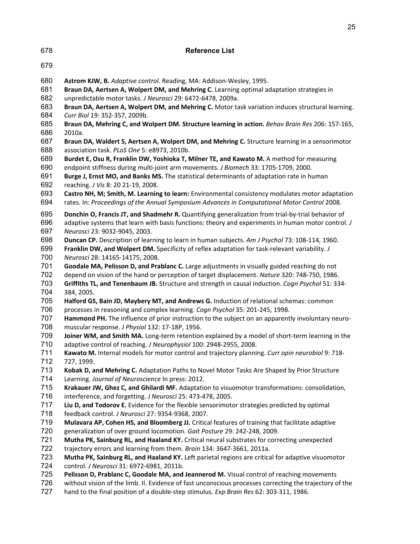| 678                                                  | <b>Reference List</b>                                                                                                                                                                                                                                                                                                                                                                                                                                                                                                                                                    |
|------------------------------------------------------|--------------------------------------------------------------------------------------------------------------------------------------------------------------------------------------------------------------------------------------------------------------------------------------------------------------------------------------------------------------------------------------------------------------------------------------------------------------------------------------------------------------------------------------------------------------------------|
| 679                                                  |                                                                                                                                                                                                                                                                                                                                                                                                                                                                                                                                                                          |
| 680                                                  | Astrom KJW, B. Adaptive control. Reading, MA: Addison-Wesley, 1995.                                                                                                                                                                                                                                                                                                                                                                                                                                                                                                      |
| 681                                                  | Braun DA, Aertsen A, Wolpert DM, and Mehring C. Learning optimal adaptation strategies in                                                                                                                                                                                                                                                                                                                                                                                                                                                                                |
| 682                                                  | unpredictable motor tasks. J Neurosci 29: 6472-6478, 2009a.                                                                                                                                                                                                                                                                                                                                                                                                                                                                                                              |
| 683                                                  | Braun DA, Aertsen A, Wolpert DM, and Mehring C. Motor task variation induces structural learning.                                                                                                                                                                                                                                                                                                                                                                                                                                                                        |
| 684                                                  | Curr Biol 19: 352-357, 2009b.                                                                                                                                                                                                                                                                                                                                                                                                                                                                                                                                            |
| 685                                                  | Braun DA, Mehring C, and Wolpert DM. Structure learning in action. Behav Brain Res 206: 157-165,                                                                                                                                                                                                                                                                                                                                                                                                                                                                         |
| 686                                                  | 2010a.                                                                                                                                                                                                                                                                                                                                                                                                                                                                                                                                                                   |
| 687<br>688<br>689<br>690<br>691<br>692<br>693<br>694 | Braun DA, Waldert S, Aertsen A, Wolpert DM, and Mehring C. Structure learning in a sensorimotor<br>association task. PLoS One 5: e8973, 2010b.<br>Burdet E, Osu R, Franklin DW, Yoshioka T, Milner TE, and Kawato M. A method for measuring<br>endpoint stiffness during multi-joint arm movements. J Biomech 33: 1705-1709, 2000.<br>Burge J, Ernst MO, and Banks MS. The statistical determinants of adaptation rate in human<br>reaching. J Vis 8: 20 21-19, 2008.<br>Castro NH, M; Smith, M. Learning to learn: Environmental consistency modulates motor adaptation |
| 695<br>696                                           | rates. In: Proceedings of the Annual Symposium Advances in Computational Motor Control 2008.<br>Donchin O, Francis JT, and Shadmehr R. Quantifying generalization from trial-by-trial behavior of<br>adaptive systems that learn with basis functions: theory and experiments in human motor control. J                                                                                                                                                                                                                                                                  |
| 697                                                  | Neurosci 23: 9032-9045, 2003.                                                                                                                                                                                                                                                                                                                                                                                                                                                                                                                                            |
| 698                                                  | Duncan CP. Description of learning to learn in human subjects. Am J Psychol 73: 108-114, 1960.                                                                                                                                                                                                                                                                                                                                                                                                                                                                           |
| 699                                                  | Franklin DW, and Wolpert DM. Specificity of reflex adaptation for task-relevant variability. J                                                                                                                                                                                                                                                                                                                                                                                                                                                                           |
| 700                                                  | Neurosci 28: 14165-14175, 2008.                                                                                                                                                                                                                                                                                                                                                                                                                                                                                                                                          |
| 701                                                  | Goodale MA, Pelisson D, and Prablanc C. Large adjustments in visually guided reaching do not                                                                                                                                                                                                                                                                                                                                                                                                                                                                             |
| 702                                                  | depend on vision of the hand or perception of target displacement. Nature 320: 748-750, 1986.                                                                                                                                                                                                                                                                                                                                                                                                                                                                            |
| 703                                                  | Griffiths TL, and Tenenbaum JB. Structure and strength in causal induction. Cogn Psychol 51: 334-                                                                                                                                                                                                                                                                                                                                                                                                                                                                        |
| 704                                                  | 384, 2005.                                                                                                                                                                                                                                                                                                                                                                                                                                                                                                                                                               |
| 705                                                  | Halford GS, Bain JD, Maybery MT, and Andrews G. Induction of relational schemas: common                                                                                                                                                                                                                                                                                                                                                                                                                                                                                  |
| 706                                                  | processes in reasoning and complex learning. Cogn Psychol 35: 201-245, 1998.                                                                                                                                                                                                                                                                                                                                                                                                                                                                                             |
| 707                                                  | Hammond PH. The influence of prior instruction to the subject on an apparently involuntary neuro-                                                                                                                                                                                                                                                                                                                                                                                                                                                                        |
| 708                                                  | muscular response. J Physiol 132: 17-18P, 1956.                                                                                                                                                                                                                                                                                                                                                                                                                                                                                                                          |
| 709                                                  | Joiner WM, and Smith MA. Long-term retention explained by a model of short-term learning in the                                                                                                                                                                                                                                                                                                                                                                                                                                                                          |
| 710                                                  | adaptive control of reaching. J Neurophysiol 100: 2948-2955, 2008.                                                                                                                                                                                                                                                                                                                                                                                                                                                                                                       |
| 711                                                  | Kawato M. Internal models for motor control and trajectory planning. Curr opin neurobiol 9: 718-                                                                                                                                                                                                                                                                                                                                                                                                                                                                         |
| 712                                                  | 727, 1999.                                                                                                                                                                                                                                                                                                                                                                                                                                                                                                                                                               |
| 713                                                  | Kobak D, and Mehring C. Adaptation Paths to Novel Motor Tasks Are Shaped by Prior Structure                                                                                                                                                                                                                                                                                                                                                                                                                                                                              |
| 714                                                  | Learning. Journal of Neuroscience In press: 2012.                                                                                                                                                                                                                                                                                                                                                                                                                                                                                                                        |
| 715                                                  | Krakauer JW, Ghez C, and Ghilardi MF. Adaptation to visuomotor transformations: consolidation,                                                                                                                                                                                                                                                                                                                                                                                                                                                                           |
| 716                                                  | interference, and forgetting. J Neurosci 25: 473-478, 2005.                                                                                                                                                                                                                                                                                                                                                                                                                                                                                                              |
| 717                                                  | Liu D, and Todorov E. Evidence for the flexible sensorimotor strategies predicted by optimal                                                                                                                                                                                                                                                                                                                                                                                                                                                                             |
| 718                                                  | feedback control. J Neurosci 27: 9354-9368, 2007.                                                                                                                                                                                                                                                                                                                                                                                                                                                                                                                        |
| 719                                                  | Mulavara AP, Cohen HS, and Bloomberg JJ. Critical features of training that facilitate adaptive                                                                                                                                                                                                                                                                                                                                                                                                                                                                          |
| 720                                                  | generalization of over ground locomotion. Gait Posture 29: 242-248, 2009.                                                                                                                                                                                                                                                                                                                                                                                                                                                                                                |
| 721                                                  | Mutha PK, Sainburg RL, and Haaland KY. Critical neural substrates for correcting unexpected                                                                                                                                                                                                                                                                                                                                                                                                                                                                              |
| 722                                                  | trajectory errors and learning from them. Brain 134: 3647-3661, 2011a.                                                                                                                                                                                                                                                                                                                                                                                                                                                                                                   |
| 723                                                  | Mutha PK, Sainburg RL, and Haaland KY. Left parietal regions are critical for adaptive visuomotor                                                                                                                                                                                                                                                                                                                                                                                                                                                                        |
| 724                                                  | control. J Neurosci 31: 6972-6981, 2011b.                                                                                                                                                                                                                                                                                                                                                                                                                                                                                                                                |
| 725                                                  | Pelisson D, Prablanc C, Goodale MA, and Jeannerod M. Visual control of reaching movements                                                                                                                                                                                                                                                                                                                                                                                                                                                                                |
| 726                                                  | without vision of the limb. II. Evidence of fast unconscious processes correcting the trajectory of the                                                                                                                                                                                                                                                                                                                                                                                                                                                                  |
| 727                                                  | hand to the final position of a double-step stimulus. Exp Brain Res 62: 303-311, 1986.                                                                                                                                                                                                                                                                                                                                                                                                                                                                                   |
|                                                      |                                                                                                                                                                                                                                                                                                                                                                                                                                                                                                                                                                          |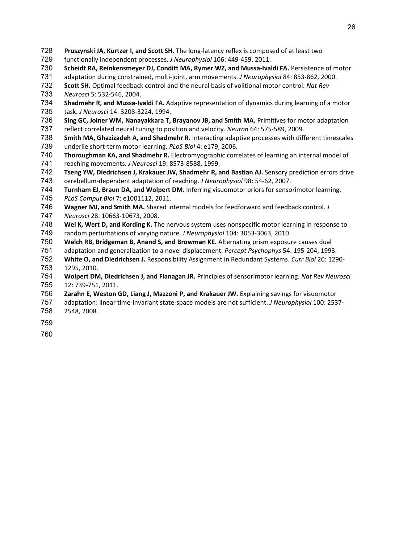- **Pruszynski JA, Kurtzer I, and Scott SH.** The long-latency reflex is composed of at least two
- functionally independent processes. *J Neurophysiol* 106: 449-459, 2011.
- 730 Scheidt RA, Reinkensmeyer DJ, Conditt MA, Rymer WZ, and Mussa-Ivaldi FA. Persistence of motor
- adaptation during constrained, multi-joint, arm movements. *J Neurophysiol* 84: 853-862, 2000.
- **Scott SH.** Optimal feedback control and the neural basis of volitional motor control. *Nat Rev Neurosci* 5: 532-546, 2004.
- **Shadmehr R, and Mussa-Ivaldi FA.** Adaptive representation of dynamics during learning of a motor task. *J Neurosci* 14: 3208-3224, 1994.
- **Sing GC, Joiner WM, Nanayakkara T, Brayanov JB, and Smith MA.** Primitives for motor adaptation reflect correlated neural tuning to position and velocity. *Neuron* 64: 575-589, 2009.
- **Smith MA, Ghazizadeh A, and Shadmehr R.** Interacting adaptive processes with different timescales underlie short-term motor learning. *PLoS Biol* 4: e179, 2006.
- **Thoroughman KA, and Shadmehr R.** Electromyographic correlates of learning an internal model of
- reaching movements. *J Neurosci* 19: 8573-8588, 1999.
- **Tseng YW, Diedrichsen J, Krakauer JW, Shadmehr R, and Bastian AJ.** Sensory prediction errors drive cerebellum-dependent adaptation of reaching. *J Neurophysiol* 98: 54-62, 2007.
- **Turnham EJ, Braun DA, and Wolpert DM.** Inferring visuomotor priors for sensorimotor learning. *PLoS Comput Biol* 7: e1001112, 2011.
- **Wagner MJ, and Smith MA.** Shared internal models for feedforward and feedback control. *J Neurosci* 28: 10663-10673, 2008.
- **Wei K, Wert D, and Kording K.** The nervous system uses nonspecific motor learning in response to random perturbations of varying nature. *J Neurophysiol* 104: 3053-3063, 2010.
- **Welch RB, Bridgeman B, Anand S, and Browman KE.** Alternating prism exposure causes dual
- adaptation and generalization to a novel displacement. *Percept Psychophys* 54: 195-204, 1993.
- **White O, and Diedrichsen J.** Responsibility Assignment in Redundant Systems. *Curr Biol* 20: 1290- 1295, 2010.
- **Wolpert DM, Diedrichsen J, and Flanagan JR.** Principles of sensorimotor learning. *Nat Rev Neurosci*  12: 739-751, 2011.
- **Zarahn E, Weston GD, Liang J, Mazzoni P, and Krakauer JW.** Explaining savings for visuomotor
- adaptation: linear time-invariant state-space models are not sufficient. *J Neurophysiol* 100: 2537-
- 2548, 2008.
- 
-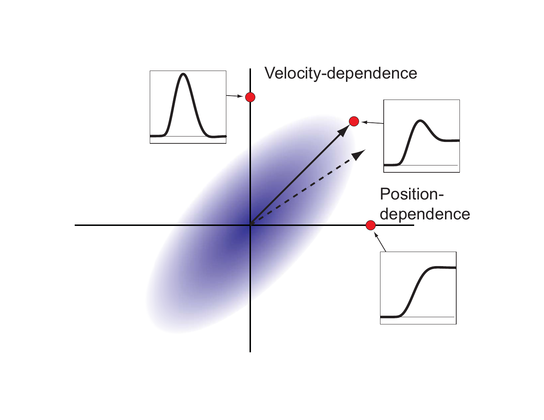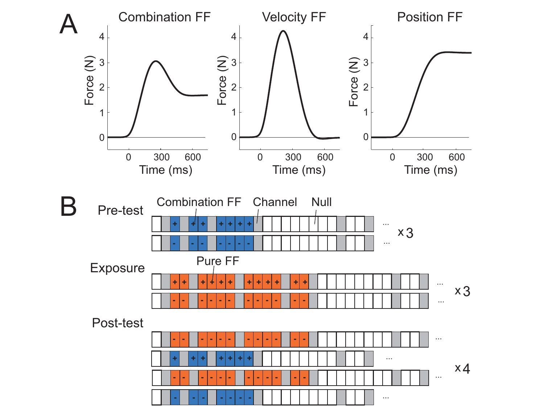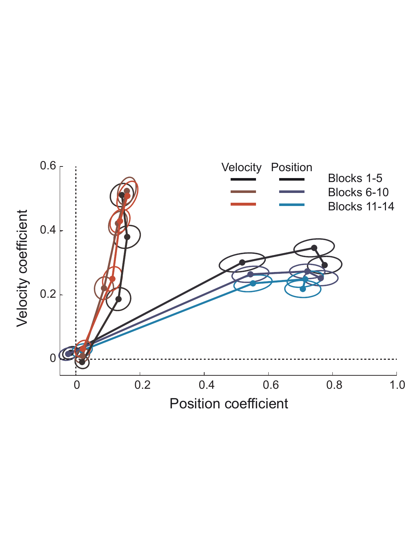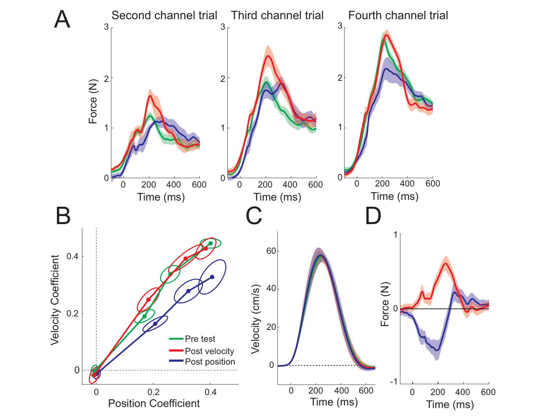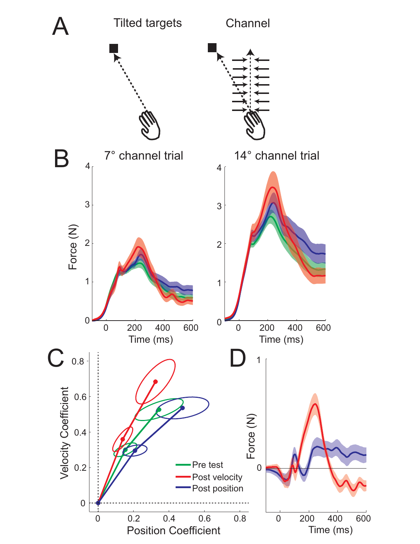